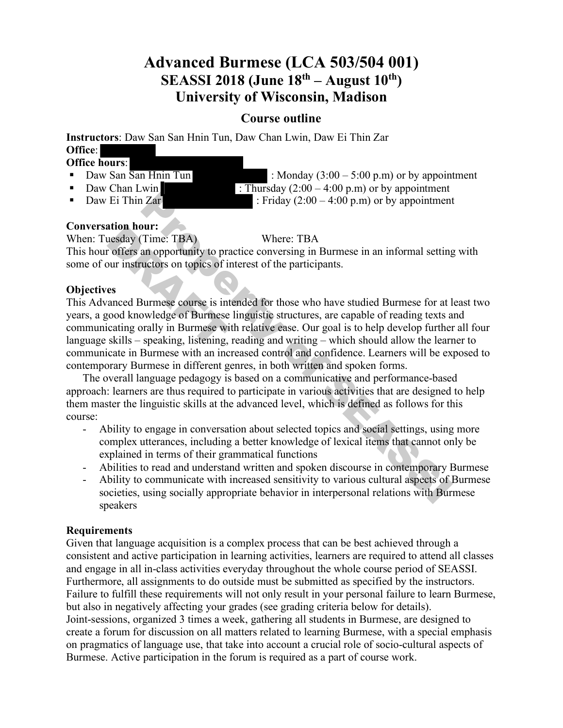# **Advanced Burmese (LCA 503/504 001) SEASSI 2018 (June 18th – August 10th) University of Wisconsin, Madison**

# **Course outline**

**Instructors**: Daw San San Hnin Tun, Daw Chan Lwin, Daw Ei Thin Zar **Office**: **Office hours**:

- 
- 
- 
- 

• Daw San  $\overline{San H}$  Hnin Tun : Monday (3:00 – 5:00 p.m) or by appointment • Daw Chan Lwin : Thursday  $(2:00 - 4:00 \text{ p.m})$  or by appointment • Daw Ei Thin Zar : Friday  $(2:00 - 4:00 \text{ p.m})$  or by appointment

## **Conversation hour:**

When: Tuesday (Time: TBA) Where: TBA

This hour offers an opportunity to practice conversing in Burmese in an informal setting with some of our instructors on topics of interest of the participants.

#### **Objectives**

This Advanced Burmese course is intended for those who have studied Burmese for at least two years, a good knowledge of Burmese linguistic structures, are capable of reading texts and communicating orally in Burmese with relative ease. Our goal is to help develop further all four language skills – speaking, listening, reading and writing – which should allow the learner to communicate in Burmese with an increased control and confidence. Learners will be exposed to contemporary Burmese in different genres, in both written and spoken forms. Properties and the content of the content of the content of the sum of the content of the sum spottenty of the sum spottential and opportunity to practice conversing in Burmese in an informal setting uctors on topics of i ation nour:<br>
uesday (Time: TBA)<br>
r offers an opportunity to praise of i<br>
es<br>
anced Burmese course is integranded by the Surmese<br>
integranded by the Burmese wi<br>
skills – speaking, listening,

The overall language pedagogy is based on a communicative and performance-based approach: learners are thus required to participate in various activities that are designed to help them master the linguistic skills at the advanced level, which is defined as follows for this course:

- Ability to engage in conversation about selected topics and social settings, using more complex utterances, including a better knowledge of lexical items that cannot only be explained in terms of their grammatical functions
- Abilities to read and understand written and spoken discourse in contemporary Burmese
- Ability to communicate with increased sensitivity to various cultural aspects of Burmese societies, using socially appropriate behavior in interpersonal relations with Burmese speakers

#### **Requirements**

Given that language acquisition is a complex process that can be best achieved through a consistent and active participation in learning activities, learners are required to attend all classes and engage in all in-class activities everyday throughout the whole course period of SEASSI. Furthermore, all assignments to do outside must be submitted as specified by the instructors. Failure to fulfill these requirements will not only result in your personal failure to learn Burmese, but also in negatively affecting your grades (see grading criteria below for details). Joint-sessions, organized 3 times a week, gathering all students in Burmese, are designed to create a forum for discussion on all matters related to learning Burmese, with a special emphasis on pragmatics of language use, that take into account a crucial role of socio-cultural aspects of Burmese. Active participation in the forum is required as a part of course work.